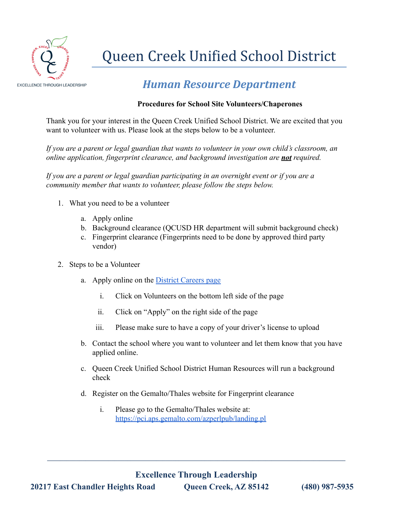

## Queen Creek Unified School District

## *Human Resource Department*

## **Procedures for School Site Volunteers/Chaperones**

Thank you for your interest in the Queen Creek Unified School District. We are excited that you want to volunteer with us. Please look at the steps below to be a volunteer.

*If you are a parent or legal guardian that wants to volunteer in your own child's classroom, an online application, fingerprint clearance, and background investigation are not required.*

*If you are a parent or legal guardian participating in an overnight event or if you are a community member that wants to volunteer, please follow the steps below.*

- 1. What you need to be a volunteer
	- a. Apply online
	- b. Background clearance (QCUSD HR department will submit background check)
	- c. Fingerprint clearance (Fingerprints need to be done by approved third party vendor)
- 2. Steps to be a Volunteer
	- a. Apply online on the [District Careers page](https://www.applitrack.com/qcusd/onlineapp/)
		- i. Click on Volunteers on the bottom left side of the page
		- ii. Click on "Apply" on the right side of the page
		- iii. Please make sure to have a copy of your driver's license to upload
	- b. Contact the school where you want to volunteer and let them know that you have applied online.
	- c. Queen Creek Unified School District Human Resources will run a background check
	- d. Register on the Gemalto/Thales website for Fingerprint clearance
		- i. Please go to the Gemalto/Thales website at: <https://pci.aps.gemalto.com/azperlpub/landing.pl>